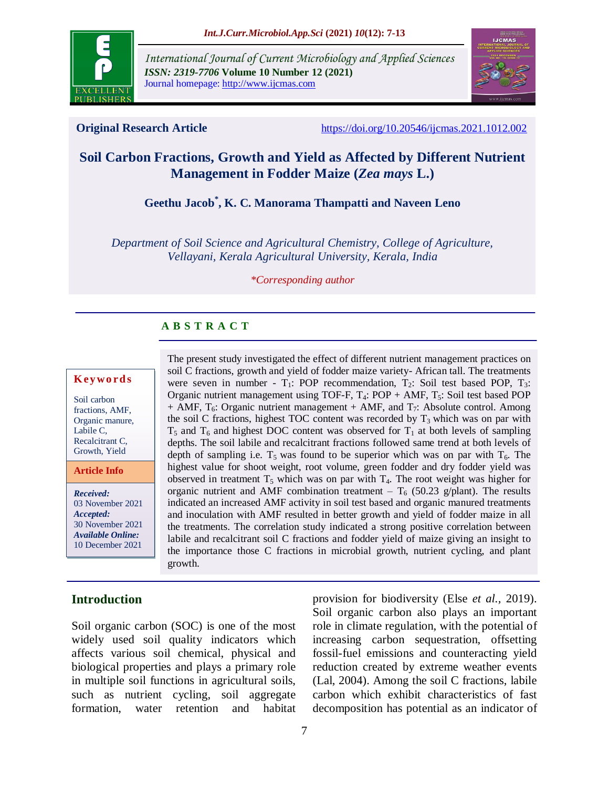

*International Journal of Current Microbiology and Applied Sciences ISSN: 2319-7706* **Volume 10 Number 12 (2021)**  Journal homepage: http://www.ijcmas.com



**Original Research Article** <https://doi.org/10.20546/ijcmas.2021.1012.002>

# **Soil Carbon Fractions, Growth and Yield as Affected by Different Nutrient Management in Fodder Maize (***Zea mays* **L.)**

**Geethu Jacob\* , K. C. Manorama Thampatti and Naveen Leno**

*Department of Soil Science and Agricultural Chemistry, College of Agriculture, Vellayani, Kerala Agricultural University, Kerala, India*

*\*Corresponding author*

# **A B S T R A C T**

#### **K ey w o rd s**

Soil carbon fractions, AMF, Organic manure, Labile C, Recalcitrant C, Growth, Yield

**Article Info**

*Received:* 03 November 2021 *Accepted:* 30 November 2021 *Available Online:* 10 December 2021

**Introduction**

The present study investigated the effect of different nutrient management practices on soil C fractions, growth and yield of fodder maize variety- African tall. The treatments were seven in number -  $T_1$ : POP recommendation,  $T_2$ : Soil test based POP,  $T_3$ : Organic nutrient management using TOF-F,  $T_4$ : POP + AMF,  $T_5$ : Soil test based POP  $+$  AMF,  $T_6$ : Organic nutrient management  $+$  AMF, and  $T_7$ : Absolute control. Among the soil C fractions, highest TOC content was recorded by  $T_3$  which was on par with  $T_5$  and  $T_6$  and highest DOC content was observed for  $T_1$  at both levels of sampling depths. The soil labile and recalcitrant fractions followed same trend at both levels of depth of sampling i.e.  $T_5$  was found to be superior which was on par with  $T_6$ . The highest value for shoot weight, root volume, green fodder and dry fodder yield was observed in treatment  $T_5$  which was on par with  $T_4$ . The root weight was higher for organic nutrient and AMF combination treatment –  $T_6$  (50.23 g/plant). The results indicated an increased AMF activity in soil test based and organic manured treatments and inoculation with AMF resulted in better growth and yield of fodder maize in all the treatments. The correlation study indicated a strong positive correlation between labile and recalcitrant soil C fractions and fodder yield of maize giving an insight to the importance those C fractions in microbial growth, nutrient cycling, and plant growth.

Soil organic carbon (SOC) is one of the most widely used soil quality indicators which affects various soil chemical, physical and biological properties and plays a primary role in multiple soil functions in agricultural soils, such as nutrient cycling, soil aggregate formation, water retention and habitat provision for biodiversity (Else *et al.,* 2019). Soil organic carbon also plays an important role in climate regulation, with the potential of increasing carbon sequestration, offsetting fossil-fuel emissions and counteracting yield reduction created by extreme weather events (Lal, 2004). Among the soil C fractions, labile carbon which exhibit characteristics of fast decomposition has potential as an indicator of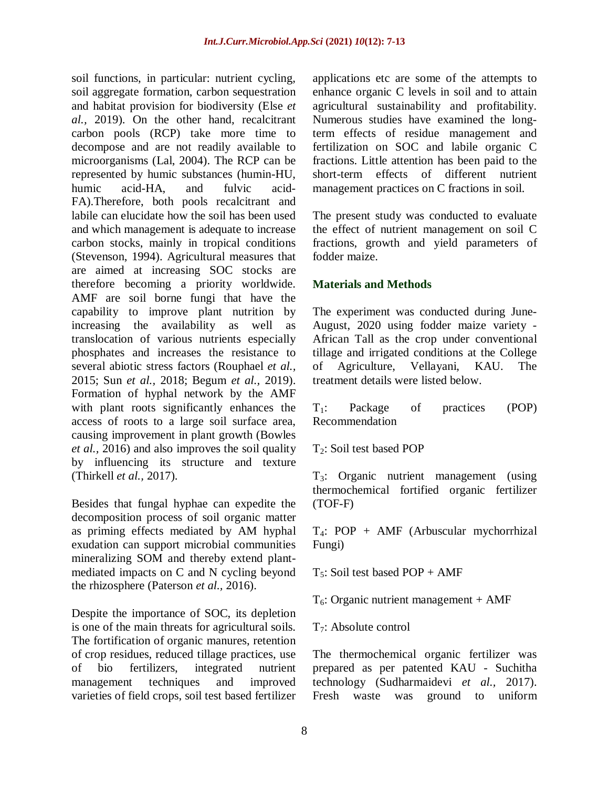soil functions, in particular: nutrient cycling, soil aggregate formation, carbon sequestration and habitat provision for biodiversity (Else *et al.,* 2019). On the other hand, recalcitrant carbon pools (RCP) take more time to decompose and are not readily available to microorganisms (Lal, 2004). The RCP can be represented by humic substances (humin-HU, humic acid-HA, and fulvic acid-FA).Therefore, both pools recalcitrant and labile can elucidate how the soil has been used and which management is adequate to increase carbon stocks, mainly in tropical conditions (Stevenson, 1994). Agricultural measures that are aimed at increasing SOC stocks are therefore becoming a priority worldwide. AMF are soil borne fungi that have the capability to improve plant nutrition by increasing the availability as well as translocation of various nutrients especially phosphates and increases the resistance to several abiotic stress factors (Rouphael *et al.,* 2015; Sun *et al.,* 2018; Begum *et al.,* 2019). Formation of hyphal network by the AMF with plant roots significantly enhances the access of roots to a large soil surface area, causing improvement in plant growth (Bowles *et al.,* 2016) and also improves the soil quality by influencing its structure and texture (Thirkell *et al.,* 2017).

Besides that fungal hyphae can expedite the decomposition process of soil organic matter as priming effects mediated by AM hyphal exudation can support microbial communities mineralizing SOM and thereby extend plantmediated impacts on C and N cycling beyond the rhizosphere (Paterson *et al.,* 2016).

Despite the importance of SOC, its depletion is one of the main threats for agricultural soils. The fortification of organic manures, retention of crop residues, reduced tillage practices, use of bio fertilizers, integrated nutrient management techniques and improved varieties of field crops, soil test based fertilizer

applications etc are some of the attempts to enhance organic C levels in soil and to attain agricultural sustainability and profitability. Numerous studies have examined the longterm effects of residue management and fertilization on SOC and labile organic C fractions. Little attention has been paid to the short-term effects of different nutrient management practices on C fractions in soil.

The present study was conducted to evaluate the effect of nutrient management on soil C fractions, growth and yield parameters of fodder maize.

### **Materials and Methods**

The experiment was conducted during June-August, 2020 using fodder maize variety - African Tall as the crop under conventional tillage and irrigated conditions at the College of Agriculture, Vellayani, KAU. The treatment details were listed below.

T1: Package of practices (POP) Recommendation

 $T_2$ : Soil test based POP

T3: Organic nutrient management (using thermochemical fortified organic fertilizer (TOF-F)

T4: POP + AMF (Arbuscular mychorrhizal Fungi)

 $T_5$ : Soil test based POP + AMF

 $T_6$ : Organic nutrient management + AMF

T7: Absolute control

The thermochemical organic fertilizer was prepared as per patented KAU - Suchitha technology (Sudharmaidevi *et al.,* 2017). Fresh waste was ground to uniform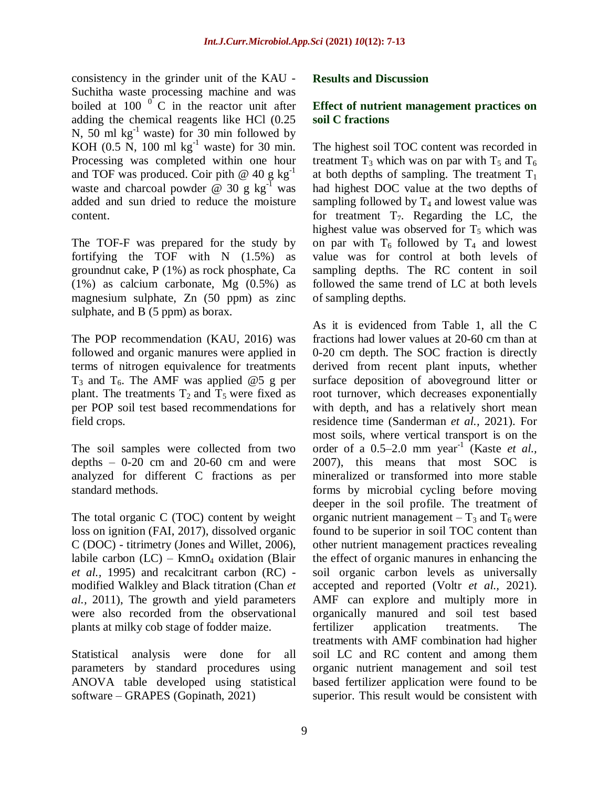consistency in the grinder unit of the KAU - Suchitha waste processing machine and was boiled at 100  $\mathrm{^{0}}$  C in the reactor unit after adding the chemical reagents like HCl (0.25 N, 50 ml  $kg^{-1}$  waste) for 30 min followed by KOH (0.5 N, 100 ml  $kg^{-1}$  waste) for 30 min. Processing was completed within one hour and TOF was produced. Coir pith  $@$  40 g kg<sup>-1</sup> waste and charcoal powder  $\ddot{\text{o}}$  30 g kg<sup>-1</sup> was added and sun dried to reduce the moisture content.

The TOF-F was prepared for the study by fortifying the TOF with N (1.5%) as groundnut cake, P (1%) as rock phosphate, Ca (1%) as calcium carbonate, Mg (0.5%) as magnesium sulphate, Zn (50 ppm) as zinc sulphate, and B (5 ppm) as borax.

The POP recommendation (KAU, 2016) was followed and organic manures were applied in terms of nitrogen equivalence for treatments  $T_3$  and  $T_6$ . The AMF was applied @5 g per plant. The treatments  $T_2$  and  $T_5$  were fixed as per POP soil test based recommendations for field crops.

The soil samples were collected from two depths – 0-20 cm and 20-60 cm and were analyzed for different C fractions as per standard methods.

The total organic C (TOC) content by weight loss on ignition (FAI, 2017), dissolved organic C (DOC) - titrimetry (Jones and Willet, 2006), labile carbon  $(LC)$  – KmnO<sub>4</sub> oxidation (Blair *et al.,* 1995) and recalcitrant carbon (RC) modified Walkley and Black titration (Chan *et al.,* 2011), The growth and yield parameters were also recorded from the observational plants at milky cob stage of fodder maize.

Statistical analysis were done for all parameters by standard procedures using ANOVA table developed using statistical software – GRAPES (Gopinath, 2021)

#### **Results and Discussion**

#### **Effect of nutrient management practices on soil C fractions**

The highest soil TOC content was recorded in treatment  $T_3$  which was on par with  $T_5$  and  $T_6$ at both depths of sampling. The treatment  $T_1$ had highest DOC value at the two depths of sampling followed by  $T_4$  and lowest value was for treatment  $T_7$ . Regarding the LC, the highest value was observed for  $T_5$  which was on par with  $T_6$  followed by  $T_4$  and lowest value was for control at both levels of sampling depths. The RC content in soil followed the same trend of LC at both levels of sampling depths.

As it is evidenced from Table 1, all the C fractions had lower values at 20-60 cm than at 0-20 cm depth. The SOC fraction is directly derived from recent plant inputs, whether surface deposition of aboveground litter or root turnover, which decreases exponentially with depth, and has a relatively short mean residence time (Sanderman *et al.,* 2021). For most soils, where vertical transport is on the order of a 0.5–2.0 mm year-1 (Kaste *et al.,* 2007), this means that most SOC is mineralized or transformed into more stable forms by microbial cycling before moving deeper in the soil profile. The treatment of organic nutrient management  $-$  T<sub>3</sub> and T<sub>6</sub> were found to be superior in soil TOC content than other nutrient management practices revealing the effect of organic manures in enhancing the soil organic carbon levels as universally accepted and reported (Voltr *et al.,* 2021). AMF can explore and multiply more in organically manured and soil test based fertilizer application treatments. The treatments with AMF combination had higher soil LC and RC content and among them organic nutrient management and soil test based fertilizer application were found to be superior. This result would be consistent with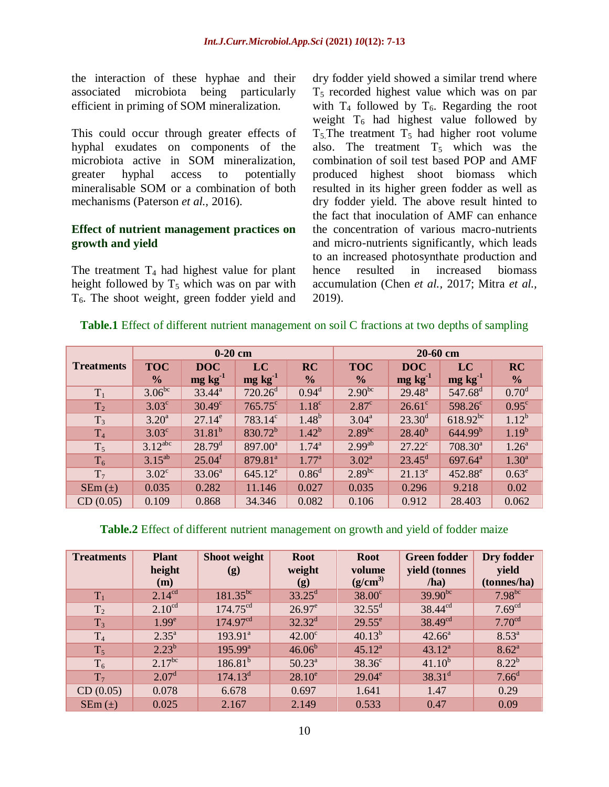the interaction of these hyphae and their associated microbiota being particularly efficient in priming of SOM mineralization.

This could occur through greater effects of hyphal exudates on components of the microbiota active in SOM mineralization, greater hyphal access to potentially mineralisable SOM or a combination of both mechanisms (Paterson *et al.,* 2016).

#### **Effect of nutrient management practices on growth and yield**

The treatment  $T_4$  had highest value for plant height followed by  $T_5$  which was on par with  $T<sub>6</sub>$ . The shoot weight, green fodder yield and

dry fodder yield showed a similar trend where  $T<sub>5</sub>$  recorded highest value which was on par with  $T_4$  followed by  $T_6$ . Regarding the root weight  $T_6$  had highest value followed by  $T_5$ . The treatment  $T_5$  had higher root volume also. The treatment  $T_5$  which was the combination of soil test based POP and AMF produced highest shoot biomass which resulted in its higher green fodder as well as dry fodder yield. The above result hinted to the fact that inoculation of AMF can enhance the concentration of various macro-nutrients and micro-nutrients significantly, which leads to an increased photosynthate production and hence resulted in increased biomass accumulation (Chen *et al.,* 2017; Mitra *et al.,* 2019).

### **Table.1** Effect of different nutrient management on soil C fractions at two depths of sampling

|                   | $0-20$ cm             |                    |                     |                   | $20-60$ cm     |                      |                     |                   |
|-------------------|-----------------------|--------------------|---------------------|-------------------|----------------|----------------------|---------------------|-------------------|
| <b>Treatments</b> | <b>TOC</b>            | <b>DOC</b>         | LC                  | <b>RC</b>         | <b>TOC</b>     | <b>DOC</b>           | LC                  | RC                |
|                   | $\frac{6}{9}$         | $mg \, kg^{-1}$    | $mg\ kg^{-1}$       | $\frac{6}{9}$     | $\frac{6}{9}$  | $mg \text{ kg}^{-1}$ | $mg \, kg^{-1}$     | $\frac{6}{6}$     |
| $T_1$             | $3.06^{bc}$           | $33.44^a$          | $720.26^{\rm d}$    | $0.94^d$          | $2.90^{bc}$    | $29.48^{\circ}$      | $547.68^{\rm d}$    | 0.70 <sup>d</sup> |
| T <sub>2</sub>    | $3.03^{\circ}$        | $30.49^\circ$      | $765.75^{\circ}$    | 1.18 <sup>c</sup> | $2.87^{\circ}$ | $26.61^{\circ}$      | $598.26^c$          | $0.95^{\circ}$    |
| $T_3$             | $3.20^{\rm a}$        | $27.14^e$          | 783.14°             | $1.48^{b}$        | $3.04^{\rm a}$ | $23.30^d$            | $618.92^{bc}$       | $1.12^{b}$        |
| T <sub>4</sub>    | $3.03^{\circ}$        | $31.81^{b}$        | $830.72^b$          | $1.42^{b}$        | $2.89^{bc}$    | $28.40^{b}$          | 644.99 <sup>b</sup> | $1.19^{b}$        |
| $T_5$             | $3.12$ <sup>abc</sup> | $28.79^{d}$        | $897.00^a$          | $1.74^{\rm a}$    | $2.99^{ab}$    | $27.22^c$            | $708.30^a$          | $1.26^{\circ}$    |
| $T_6$             | $3.15^{ab}$           | 25.04 <sup>f</sup> | 879.81 <sup>a</sup> | $1.77^{\rm a}$    | $3.02^{\rm a}$ | $23.45^{\rm d}$      | $697.64^{\text{a}}$ | $1.30^{a}$        |
| T <sub>7</sub>    | $3.02^{\circ}$        | $33.06^a$          | $645.12^e$          | 0.86 <sup>d</sup> | $2.89^{bc}$    | $21.13^e$            | $452.88^e$          | $0.63^e$          |
| $SEm(\pm)$        | 0.035                 | 0.282              | 11.146              | 0.027             | 0.035          | 0.296                | 9.218               | 0.02              |
| CD(0.05)          | 0.109                 | 0.868              | 34.346              | 0.082             | 0.106          | 0.912                | 28.403              | 0.062             |

#### **Table.2** Effect of different nutrient management on growth and yield of fodder maize

| <b>Treatments</b> | <b>Plant</b><br>height<br>(m) | Shoot weight<br>(g)  | <b>Root</b><br>weight<br>(g) | <b>Root</b><br>volume<br>$(g/cm^3)$ | <b>Green fodder</b><br>yield (tonnes<br>/ha) | Dry fodder<br>yield<br>(tonnes/ha) |
|-------------------|-------------------------------|----------------------|------------------------------|-------------------------------------|----------------------------------------------|------------------------------------|
| $T_1$             | $2.14^{cd}$                   | $181.35^{bc}$        | $33.25^{\rm d}$              | $38.00^{\circ}$                     | $39.90^{bc}$                                 | $7.98^{bc}$                        |
| T <sub>2</sub>    | 2.10 <sup>cd</sup>            | $174.75^{\text{cd}}$ | $26.97^e$                    | $32.55^{\rm d}$                     | $38.44^{cd}$                                 | 7.69 <sup>cd</sup>                 |
| $T_3$             | 1.99 <sup>e</sup>             | 174.97 <sup>cd</sup> | $32.32^d$                    | $29.55^{\circ}$                     | $38.49^{cd}$                                 | 7.70 <sup>cd</sup>                 |
| T <sub>4</sub>    | $2.35^{\circ}$                | $193.91^a$           | $42.00^{\circ}$              | $40.13^{b}$                         | $42.66^a$                                    | $8.53^{a}$                         |
| $T_5$             | $2.23^{b}$                    | $195.99^{\text{a}}$  | $46.06^{b}$                  | $45.12^a$                           | $43.12^a$                                    | $8.62^{\circ}$                     |
| $T_6$             | $2.17^{bc}$                   | $186.81^{b}$         | $50.23^{\circ}$              | $38.36^{\circ}$                     | $41.10^{b}$                                  | $8.22^{b}$                         |
| T <sub>7</sub>    | 2.07 <sup>d</sup>             | 174.13 <sup>d</sup>  | $28.10^e$                    | $29.04^e$                           | $38.31^d$                                    | 7.66 <sup>d</sup>                  |
| CD(0.05)          | 0.078                         | 6.678                | 0.697                        | 1.641                               | 1.47                                         | 0.29                               |
| $SEm(\pm)$        | 0.025                         | 2.167                | 2.149                        | 0.533                               | 0.47                                         | 0.09                               |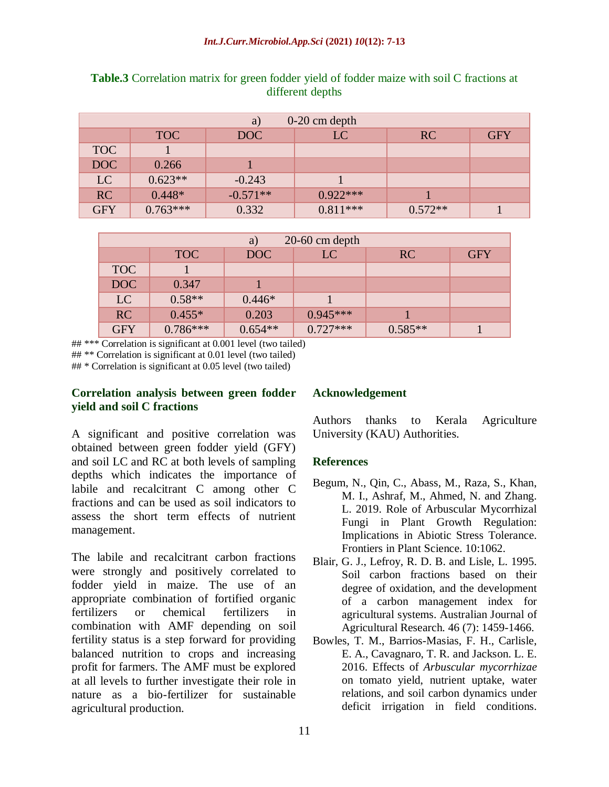| $0-20$ cm depth<br>a) |            |            |            |           |            |  |  |
|-----------------------|------------|------------|------------|-----------|------------|--|--|
|                       | <b>TOC</b> | DOC        | LC         | RC        | <b>GFY</b> |  |  |
| <b>TOC</b>            |            |            |            |           |            |  |  |
| DOC                   | 0.266      |            |            |           |            |  |  |
| LC                    | $0.623**$  | $-0.243$   |            |           |            |  |  |
| RC                    | $0.448*$   | $-0.571**$ | $0.922***$ |           |            |  |  |
| <b>GFY</b>            | $0.763***$ | 0.332      | $0.811***$ | $0.572**$ |            |  |  |

**Table.3** Correlation matrix for green fodder yield of fodder maize with soil C fractions at different depths

| $20-60$ cm depth<br>a) |            |           |            |           |            |  |
|------------------------|------------|-----------|------------|-----------|------------|--|
|                        | <b>TOC</b> | DOC       | LC         | RC        | <b>GFY</b> |  |
| <b>TOC</b>             |            |           |            |           |            |  |
| DOC                    | 0.347      |           |            |           |            |  |
| LC                     | $0.58**$   | $0.446*$  |            |           |            |  |
| <b>RC</b>              | $0.455*$   | 0.203     | $0.945***$ |           |            |  |
| <b>GFY</b>             | $0.786***$ | $0.654**$ | $0.727***$ | $0.585**$ |            |  |

## \*\*\* Correlation is significant at 0.001 level (two tailed) ## \*\* Correlation is significant at 0.01 level (two tailed)

## \* Correlation is significant at 0.05 level (two tailed)

### **Correlation analysis between green fodder yield and soil C fractions**

A significant and positive correlation was obtained between green fodder yield (GFY) and soil LC and RC at both levels of sampling depths which indicates the importance of labile and recalcitrant C among other C fractions and can be used as soil indicators to assess the short term effects of nutrient management.

The labile and recalcitrant carbon fractions were strongly and positively correlated to fodder yield in maize. The use of an appropriate combination of fortified organic fertilizers or chemical fertilizers in combination with AMF depending on soil fertility status is a step forward for providing balanced nutrition to crops and increasing profit for farmers. The AMF must be explored at all levels to further investigate their role in nature as a bio-fertilizer for sustainable agricultural production.

## **Acknowledgement**

Authors thanks to Kerala Agriculture University (KAU) Authorities.

#### **References**

- Begum, N., Qin, C., Abass, M., Raza, S., Khan, M. I., Ashraf, M., Ahmed, N. and Zhang. L. 2019. Role of Arbuscular Mycorrhizal Fungi in Plant Growth Regulation: Implications in Abiotic Stress Tolerance. Frontiers in Plant Science. 10:1062.
- Blair, G. J., Lefroy, R. D. B. and Lisle, L. 1995. Soil carbon fractions based on their degree of oxidation, and the development of a carbon management index for agricultural systems. Australian Journal of Agricultural Research. 46 (7): 1459-1466.
- Bowles, T. M., Barrios-Masias, F. H., Carlisle, E. A., Cavagnaro, T. R. and Jackson. L. E. 2016. Effects of *Arbuscular mycorrhizae* on tomato yield, nutrient uptake, water relations, and soil carbon dynamics under deficit irrigation in field conditions.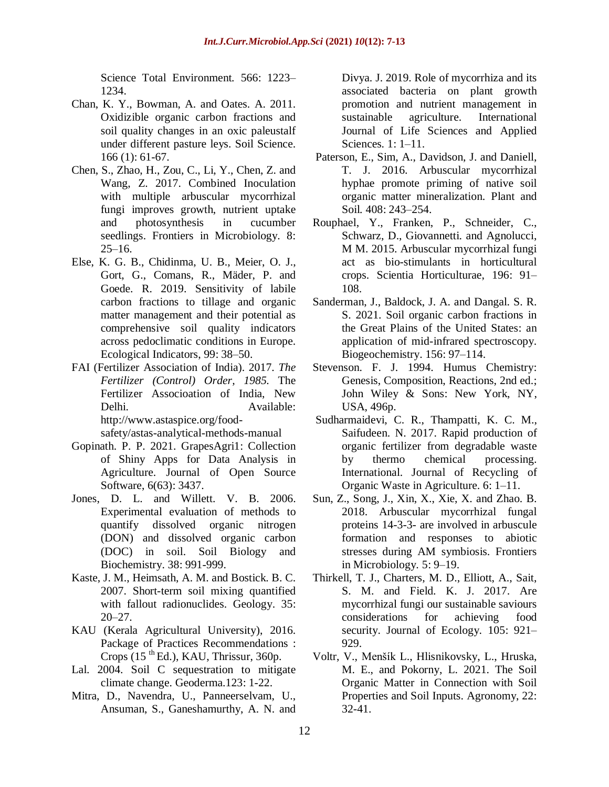Science Total Environment*.* 566: 1223– 1234.

- Chan, K. Y., Bowman, A. and Oates. A. 2011. Oxidizible organic carbon fractions and soil quality changes in an oxic paleustalf under different pasture leys. Soil Science. 166 (1): 61-67.
- Chen, S., Zhao, H., Zou, C., Li, Y., Chen, Z. and Wang, Z. 2017. Combined Inoculation with multiple arbuscular mycorrhizal fungi improves growth, nutrient uptake and photosynthesis in cucumber seedlings. Frontiers in Microbiology*.* 8:  $25-16$ .
- Else, K. G. B., Chidinma, U. B., Meier, O. J., Gort, G., Comans, R., Mäder, P. and Goede. R. 2019. Sensitivity of labile carbon fractions to tillage and organic matter management and their potential as comprehensive soil quality indicators across pedoclimatic conditions in Europe. Ecological Indicators, 99: 38–50.
- FAI (Fertilizer Association of India). 2017. *The Fertilizer (Control) Order, 1985.* The Fertilizer Associoation of India, New Delhi. Available: [http://www.astaspice.org/food-](http://www.astaspice.org/food-safety/astas-analytical-methods-manual)

[safety/astas-analytical-methods-manual](http://www.astaspice.org/food-safety/astas-analytical-methods-manual)

- Gopinath. P. P. 2021. GrapesAgri1: Collection of Shiny Apps for Data Analysis in Agriculture. Journal of Open Source Software, 6(63): 3437.
- Jones, D. L. and Willett. V. B. 2006. Experimental evaluation of methods to quantify dissolved organic nitrogen (DON) and dissolved organic carbon (DOC) in soil. Soil Biology and Biochemistry. 38: 991-999.
- Kaste, J. M., Heimsath, A. M. and Bostick. B. C. 2007. Short-term soil mixing quantified with fallout radionuclides. Geology. 35: 20–27.
- KAU (Kerala Agricultural University), 2016. Package of Practices Recommendations : Crops  $(15$ <sup>th</sup> Ed.), KAU, Thrissur, 360p.
- Lal. 2004. Soil C sequestration to mitigate climate change. Geoderma.123: 1-22.
- Mitra, D., Navendra, U., Panneerselvam, U., Ansuman, S., Ganeshamurthy, A. N. and

Divya. J. 2019. Role of mycorrhiza and its associated bacteria on plant growth promotion and nutrient management in sustainable agriculture. International Journal of Life Sciences and Applied Sciences*.* 1: 1–11.

- Paterson, E., Sim, A., Davidson, J. and Daniell, T. J. 2016. Arbuscular mycorrhizal hyphae promote priming of native soil organic matter mineralization. Plant and Soil*.* 408: 243–254.
- Rouphael, Y., Franken, P., Schneider, C., Schwarz, D., Giovannetti. and Agnolucci, M M. 2015. Arbuscular mycorrhizal fungi act as bio-stimulants in horticultural crops. Scientia Horticulturae, 196: 91– 108.
- Sanderman, J., Baldock, J. A. and Dangal. S. R. S. 2021. Soil organic carbon fractions in the Great Plains of the United States: an application of mid-infrared spectroscopy. Biogeochemistry. 156: 97–114.
- Stevenson. F. J. 1994. Humus Chemistry: Genesis, Composition, Reactions, 2nd ed.; John Wiley & Sons: New York, NY, USA, 496p.
- Sudharmaidevi, C. R., Thampatti, K. C. M., Saifudeen. N. 2017. Rapid production of organic fertilizer from degradable waste by thermo chemical processing. International. Journal of Recycling of Organic Waste in Agriculture. 6: 1–11.
- Sun, Z., Song, J., Xin, X., Xie, X. and Zhao. B. 2018. Arbuscular mycorrhizal fungal proteins 14-3-3- are involved in arbuscule formation and responses to abiotic stresses during AM symbiosis. Frontiers in Microbiology*.* 5: 9–19.
- Thirkell, T. J., Charters, M. D., Elliott, A., Sait, S. M. and Field. K. J. 2017. Are mycorrhizal fungi our sustainable saviours considerations for achieving food security. Journal of Ecology. 105: 921– 929.
- Voltr, V., Menšík L., Hlisnikovsky, L., Hruska, M. E., and Pokorny, L. 2021. The Soil Organic Matter in Connection with Soil Properties and Soil Inputs. Agronomy, 22: 32-41.